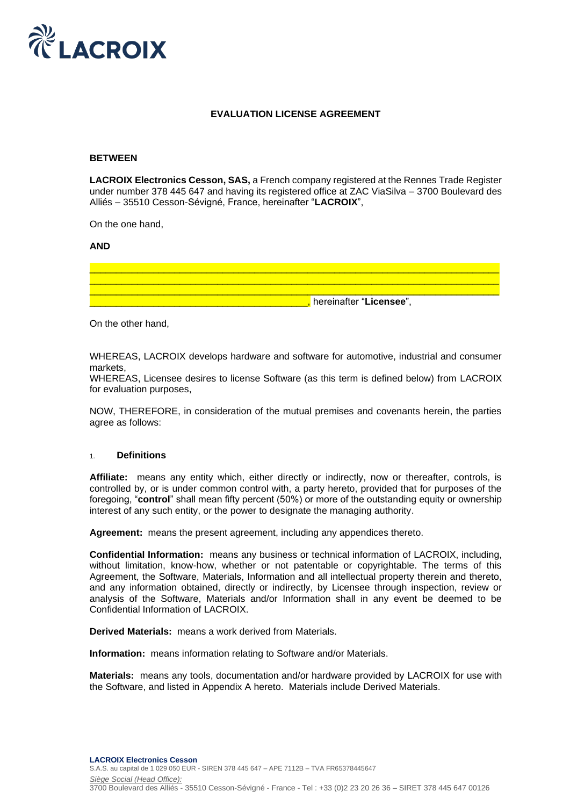

# **EVALUATION LICENSE AGREEMENT**

#### **BETWEEN**

**LACROIX Electronics Cesson, SAS,** a French company registered at the Rennes Trade Register under number 378 445 647 and having its registered office at ZAC ViaSilva – 3700 Boulevard des Alliés – 35510 Cesson-Sévigné, France, hereinafter "**LACROIX**",

On the one hand,

#### **AND**

| , hereinafter " <b>Licensee</b> ", |  |
|------------------------------------|--|

On the other hand,

WHEREAS, LACROIX develops hardware and software for automotive, industrial and consumer markets,

WHEREAS, Licensee desires to license Software (as this term is defined below) from LACROIX for evaluation purposes,

NOW, THEREFORE, in consideration of the mutual premises and covenants herein, the parties agree as follows:

# 1. **Definitions**

**Affiliate:** means any entity which, either directly or indirectly, now or thereafter, controls, is controlled by, or is under common control with, a party hereto, provided that for purposes of the foregoing, "**control**" shall mean fifty percent (50%) or more of the outstanding equity or ownership interest of any such entity, or the power to designate the managing authority.

**Agreement:** means the present agreement, including any appendices thereto.

**Confidential Information:** means any business or technical information of LACROIX, including, without limitation, know-how, whether or not patentable or copyrightable. The terms of this Agreement, the Software, Materials, Information and all intellectual property therein and thereto, and any information obtained, directly or indirectly, by Licensee through inspection, review or analysis of the Software, Materials and/or Information shall in any event be deemed to be Confidential Information of LACROIX.

**Derived Materials:** means a work derived from Materials.

**Information:** means information relating to Software and/or Materials.

**Materials:** means any tools, documentation and/or hardware provided by LACROIX for use with the Software, and listed in Appendix A hereto. Materials include Derived Materials.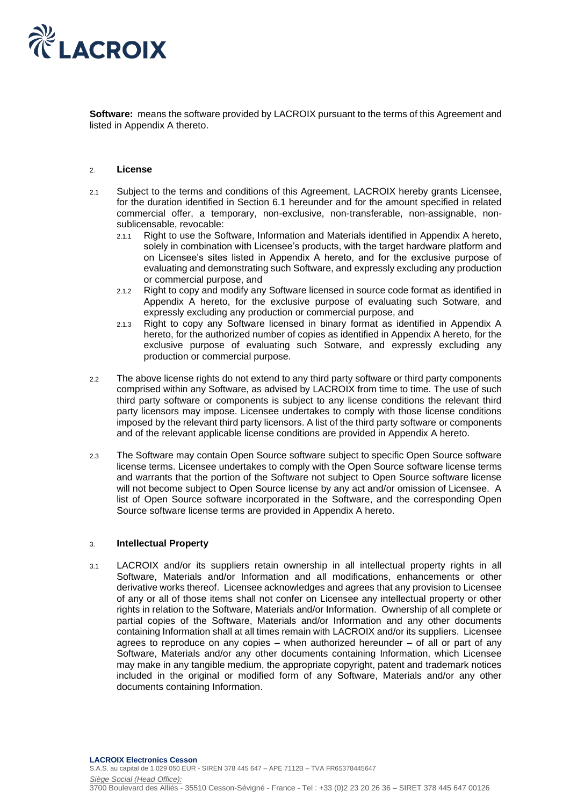

**Software:** means the software provided by LACROIX pursuant to the terms of this Agreement and listed in Appendix A thereto.

#### 2. **License**

- 2.1 Subject to the terms and conditions of this Agreement, LACROIX hereby grants Licensee, for the duration identified in Section 6.1 hereunder and for the amount specified in related commercial offer, a temporary, non-exclusive, non-transferable, non-assignable, nonsublicensable, revocable:
	- 2.1.1 Right to use the Software, Information and Materials identified in Appendix A hereto, solely in combination with Licensee's products, with the target hardware platform and on Licensee's sites listed in Appendix A hereto, and for the exclusive purpose of evaluating and demonstrating such Software, and expressly excluding any production or commercial purpose, and
	- 2.1.2 Right to copy and modify any Software licensed in source code format as identified in Appendix A hereto, for the exclusive purpose of evaluating such Sotware, and expressly excluding any production or commercial purpose, and
	- 2.1.3 Right to copy any Software licensed in binary format as identified in Appendix A hereto, for the authorized number of copies as identified in Appendix A hereto, for the exclusive purpose of evaluating such Sotware, and expressly excluding any production or commercial purpose.
- 2.2 The above license rights do not extend to any third party software or third party components comprised within any Software, as advised by LACROIX from time to time. The use of such third party software or components is subject to any license conditions the relevant third party licensors may impose. Licensee undertakes to comply with those license conditions imposed by the relevant third party licensors. A list of the third party software or components and of the relevant applicable license conditions are provided in Appendix A hereto.
- 2.3 The Software may contain Open Source software subject to specific Open Source software license terms. Licensee undertakes to comply with the Open Source software license terms and warrants that the portion of the Software not subject to Open Source software license will not become subject to Open Source license by any act and/or omission of Licensee. A list of Open Source software incorporated in the Software, and the corresponding Open Source software license terms are provided in Appendix A hereto.

### 3. **Intellectual Property**

3.1 LACROIX and/or its suppliers retain ownership in all intellectual property rights in all Software, Materials and/or Information and all modifications, enhancements or other derivative works thereof. Licensee acknowledges and agrees that any provision to Licensee of any or all of those items shall not confer on Licensee any intellectual property or other rights in relation to the Software, Materials and/or Information. Ownership of all complete or partial copies of the Software, Materials and/or Information and any other documents containing Information shall at all times remain with LACROIX and/or its suppliers. Licensee agrees to reproduce on any copies – when authorized hereunder – of all or part of any Software, Materials and/or any other documents containing Information, which Licensee may make in any tangible medium, the appropriate copyright, patent and trademark notices included in the original or modified form of any Software, Materials and/or any other documents containing Information.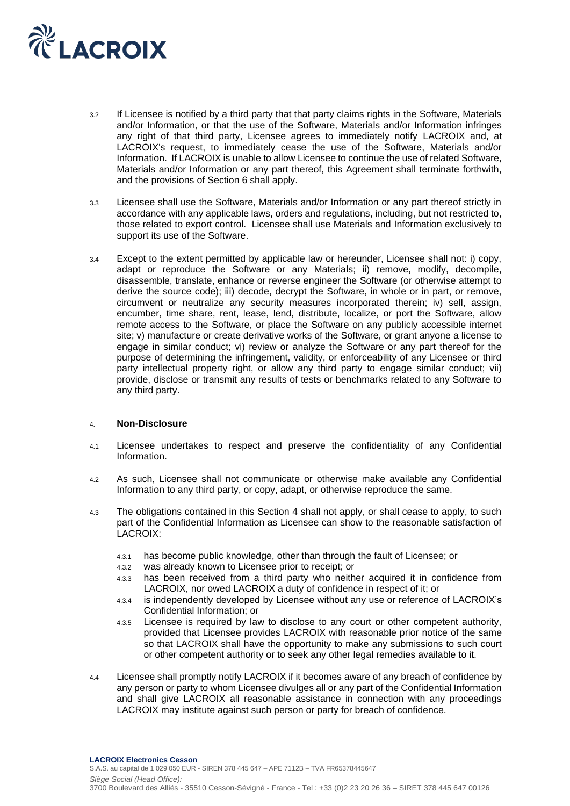

- 3.2 If Licensee is notified by a third party that that party claims rights in the Software, Materials and/or Information, or that the use of the Software, Materials and/or Information infringes any right of that third party, Licensee agrees to immediately notify LACROIX and, at LACROIX's request, to immediately cease the use of the Software, Materials and/or Information. If LACROIX is unable to allow Licensee to continue the use of related Software, Materials and/or Information or any part thereof, this Agreement shall terminate forthwith, and the provisions of Section 6 shall apply.
- 3.3 Licensee shall use the Software, Materials and/or Information or any part thereof strictly in accordance with any applicable laws, orders and regulations, including, but not restricted to, those related to export control. Licensee shall use Materials and Information exclusively to support its use of the Software.
- 3.4 Except to the extent permitted by applicable law or hereunder, Licensee shall not: i) copy, adapt or reproduce the Software or any Materials; ii) remove, modify, decompile, disassemble, translate, enhance or reverse engineer the Software (or otherwise attempt to derive the source code); iii) decode, decrypt the Software, in whole or in part, or remove, circumvent or neutralize any security measures incorporated therein; iv) sell, assign, encumber, time share, rent, lease, lend, distribute, localize, or port the Software, allow remote access to the Software, or place the Software on any publicly accessible internet site; v) manufacture or create derivative works of the Software, or grant anyone a license to engage in similar conduct; vi) review or analyze the Software or any part thereof for the purpose of determining the infringement, validity, or enforceability of any Licensee or third party intellectual property right, or allow any third party to engage similar conduct; vii) provide, disclose or transmit any results of tests or benchmarks related to any Software to any third party.

### 4. **Non-Disclosure**

- 4.1 Licensee undertakes to respect and preserve the confidentiality of any Confidential Information.
- 4.2 As such, Licensee shall not communicate or otherwise make available any Confidential Information to any third party, or copy, adapt, or otherwise reproduce the same.
- 4.3 The obligations contained in this Section 4 shall not apply, or shall cease to apply, to such part of the Confidential Information as Licensee can show to the reasonable satisfaction of LACROIX:
	- 4.3.1 has become public knowledge, other than through the fault of Licensee; or
	- 4.3.2 was already known to Licensee prior to receipt; or
	- 4.3.3 has been received from a third party who neither acquired it in confidence from LACROIX, nor owed LACROIX a duty of confidence in respect of it; or
	- 4.3.4 is independently developed by Licensee without any use or reference of LACROIX's Confidential Information; or
	- 4.3.5 Licensee is required by law to disclose to any court or other competent authority, provided that Licensee provides LACROIX with reasonable prior notice of the same so that LACROIX shall have the opportunity to make any submissions to such court or other competent authority or to seek any other legal remedies available to it.
- 4.4 Licensee shall promptly notify LACROIX if it becomes aware of any breach of confidence by any person or party to whom Licensee divulges all or any part of the Confidential Information and shall give LACROIX all reasonable assistance in connection with any proceedings LACROIX may institute against such person or party for breach of confidence.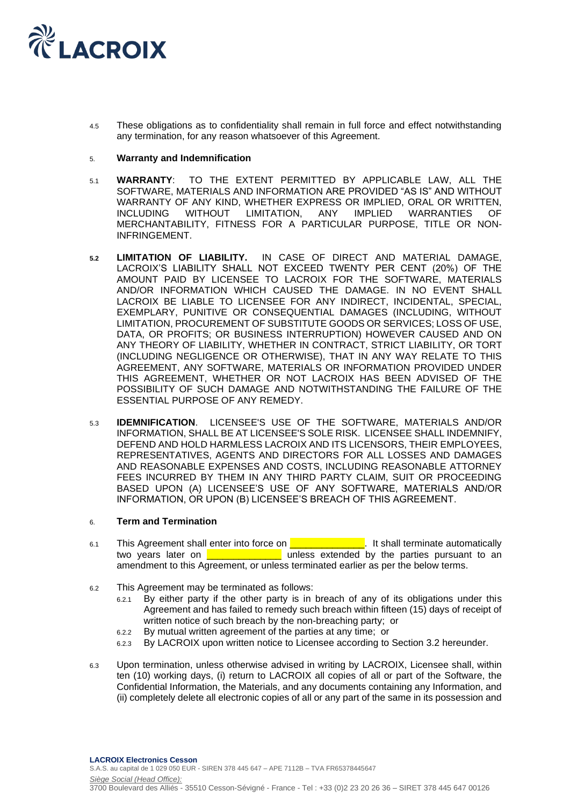

4.5 These obligations as to confidentiality shall remain in full force and effect notwithstanding any termination, for any reason whatsoever of this Agreement.

### 5. **Warranty and Indemnification**

- 5.1 **WARRANTY**: TO THE EXTENT PERMITTED BY APPLICABLE LAW, ALL THE SOFTWARE, MATERIALS AND INFORMATION ARE PROVIDED "AS IS" AND WITHOUT WARRANTY OF ANY KIND, WHETHER EXPRESS OR IMPLIED, ORAL OR WRITTEN, INCLUDING WITHOUT LIMITATION, ANY IMPLIED WARRANTIES OF MERCHANTABILITY, FITNESS FOR A PARTICULAR PURPOSE, TITLE OR NON-INFRINGEMENT.
- **5.2 LIMITATION OF LIABILITY.** IN CASE OF DIRECT AND MATERIAL DAMAGE, LACROIX'S LIABILITY SHALL NOT EXCEED TWENTY PER CENT (20%) OF THE AMOUNT PAID BY LICENSEE TO LACROIX FOR THE SOFTWARE, MATERIALS AND/OR INFORMATION WHICH CAUSED THE DAMAGE. IN NO EVENT SHALL LACROIX BE LIABLE TO LICENSEE FOR ANY INDIRECT, INCIDENTAL, SPECIAL, EXEMPLARY, PUNITIVE OR CONSEQUENTIAL DAMAGES (INCLUDING, WITHOUT LIMITATION, PROCUREMENT OF SUBSTITUTE GOODS OR SERVICES; LOSS OF USE, DATA, OR PROFITS; OR BUSINESS INTERRUPTION) HOWEVER CAUSED AND ON ANY THEORY OF LIABILITY, WHETHER IN CONTRACT, STRICT LIABILITY, OR TORT (INCLUDING NEGLIGENCE OR OTHERWISE), THAT IN ANY WAY RELATE TO THIS AGREEMENT, ANY SOFTWARE, MATERIALS OR INFORMATION PROVIDED UNDER THIS AGREEMENT, WHETHER OR NOT LACROIX HAS BEEN ADVISED OF THE POSSIBILITY OF SUCH DAMAGE AND NOTWITHSTANDING THE FAILURE OF THE ESSENTIAL PURPOSE OF ANY REMEDY.
- 5.3 **IDEMNIFICATION**. LICENSEE'S USE OF THE SOFTWARE, MATERIALS AND/OR INFORMATION, SHALL BE AT LICENSEE'S SOLE RISK. LICENSEE SHALL INDEMNIFY, DEFEND AND HOLD HARMLESS LACROIX AND ITS LICENSORS, THEIR EMPLOYEES, REPRESENTATIVES, AGENTS AND DIRECTORS FOR ALL LOSSES AND DAMAGES AND REASONABLE EXPENSES AND COSTS, INCLUDING REASONABLE ATTORNEY FEES INCURRED BY THEM IN ANY THIRD PARTY CLAIM, SUIT OR PROCEEDING BASED UPON (A) LICENSEE'S USE OF ANY SOFTWARE, MATERIALS AND/OR INFORMATION, OR UPON (B) LICENSEE'S BREACH OF THIS AGREEMENT.

### 6. **Term and Termination**

- 6.1 This Agreement shall enter into force on **EXTA REGISTER 19th Shall terminate automatically** two years later on **the interest of the unless extended by the parties pursuant to an** amendment to this Agreement, or unless terminated earlier as per the below terms.
- 6.2 This Agreement may be terminated as follows:
	- 6.2.1 By either party if the other party is in breach of any of its obligations under this Agreement and has failed to remedy such breach within fifteen (15) days of receipt of written notice of such breach by the non-breaching party; or
	- 6.2.2 By mutual written agreement of the parties at any time; or
	- 6.2.3 By LACROIX upon written notice to Licensee according to Section 3.2 hereunder.
- 6.3 Upon termination, unless otherwise advised in writing by LACROIX, Licensee shall, within ten (10) working days, (i) return to LACROIX all copies of all or part of the Software, the Confidential Information, the Materials, and any documents containing any Information, and (ii) completely delete all electronic copies of all or any part of the same in its possession and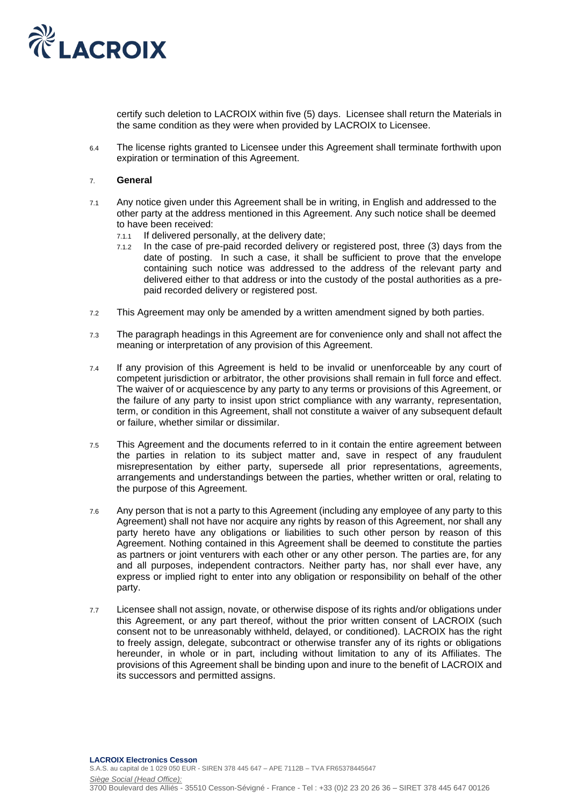

certify such deletion to LACROIX within five (5) days. Licensee shall return the Materials in the same condition as they were when provided by LACROIX to Licensee.

6.4 The license rights granted to Licensee under this Agreement shall terminate forthwith upon expiration or termination of this Agreement.

#### 7. **General**

- 7.1 Any notice given under this Agreement shall be in writing, in English and addressed to the other party at the address mentioned in this Agreement. Any such notice shall be deemed to have been received:
	- 7.1.1 If delivered personally, at the delivery date;
	- 7.1.2 In the case of pre-paid recorded delivery or registered post, three (3) days from the date of posting. In such a case, it shall be sufficient to prove that the envelope containing such notice was addressed to the address of the relevant party and delivered either to that address or into the custody of the postal authorities as a prepaid recorded delivery or registered post.
- 7.2 This Agreement may only be amended by a written amendment signed by both parties.
- 7.3 The paragraph headings in this Agreement are for convenience only and shall not affect the meaning or interpretation of any provision of this Agreement.
- 7.4 If any provision of this Agreement is held to be invalid or unenforceable by any court of competent jurisdiction or arbitrator, the other provisions shall remain in full force and effect. The waiver of or acquiescence by any party to any terms or provisions of this Agreement, or the failure of any party to insist upon strict compliance with any warranty, representation, term, or condition in this Agreement, shall not constitute a waiver of any subsequent default or failure, whether similar or dissimilar.
- 7.5 This Agreement and the documents referred to in it contain the entire agreement between the parties in relation to its subject matter and, save in respect of any fraudulent misrepresentation by either party, supersede all prior representations, agreements, arrangements and understandings between the parties, whether written or oral, relating to the purpose of this Agreement.
- 7.6 Any person that is not a party to this Agreement (including any employee of any party to this Agreement) shall not have nor acquire any rights by reason of this Agreement, nor shall any party hereto have any obligations or liabilities to such other person by reason of this Agreement. Nothing contained in this Agreement shall be deemed to constitute the parties as partners or joint venturers with each other or any other person. The parties are, for any and all purposes, independent contractors. Neither party has, nor shall ever have, any express or implied right to enter into any obligation or responsibility on behalf of the other party.
- 7.7 Licensee shall not assign, novate, or otherwise dispose of its rights and/or obligations under this Agreement, or any part thereof, without the prior written consent of LACROIX (such consent not to be unreasonably withheld, delayed, or conditioned). LACROIX has the right to freely assign, delegate, subcontract or otherwise transfer any of its rights or obligations hereunder, in whole or in part, including without limitation to any of its Affiliates. The provisions of this Agreement shall be binding upon and inure to the benefit of LACROIX and its successors and permitted assigns.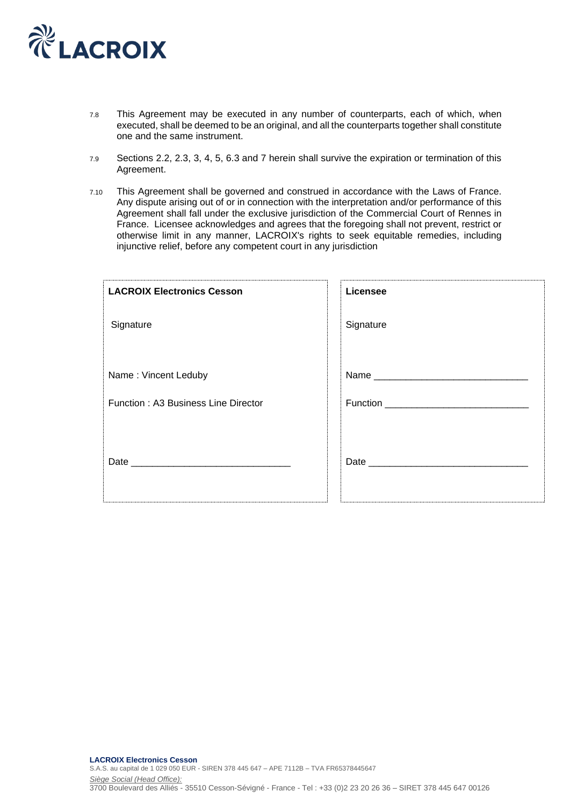

- 7.8 This Agreement may be executed in any number of counterparts, each of which, when executed, shall be deemed to be an original, and all the counterparts together shall constitute one and the same instrument.
- 7.9 Sections 2.2, 2.3, 3, 4, 5, 6.3 and 7 herein shall survive the expiration or termination of this Agreement.
- 7.10 This Agreement shall be governed and construed in accordance with the Laws of France. Any dispute arising out of or in connection with the interpretation and/or performance of this Agreement shall fall under the exclusive jurisdiction of the Commercial Court of Rennes in France. Licensee acknowledges and agrees that the foregoing shall not prevent, restrict or otherwise limit in any manner, LACROIX's rights to seek equitable remedies, including injunctive relief, before any competent court in any jurisdiction

| <b>LACROIX Electronics Cesson</b>   | Licensee  |
|-------------------------------------|-----------|
| Signature                           | Signature |
| Name: Vincent Leduby                |           |
| Function: A3 Business Line Director |           |
| Date                                | Date      |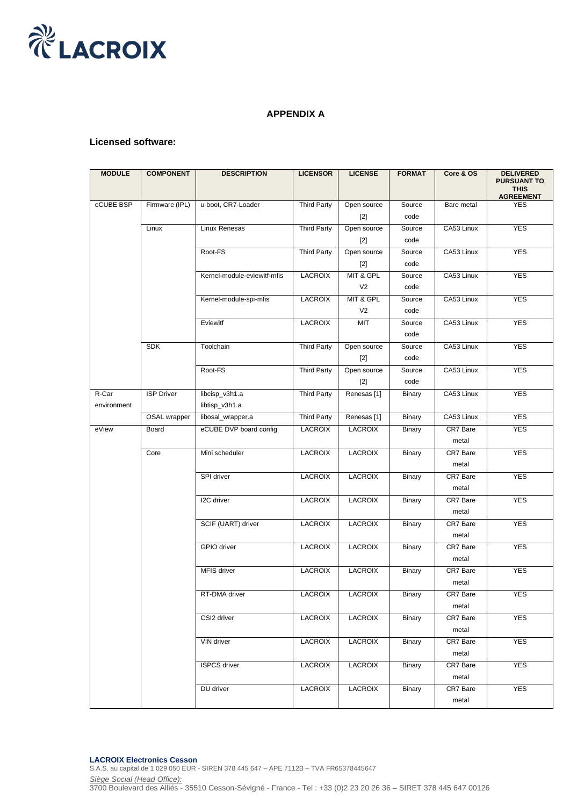

# **APPENDIX A**

## **Licensed software:**

| <b>MODULE</b>        | <b>COMPONENT</b>  | <b>DESCRIPTION</b>               | <b>LICENSOR</b>    | <b>LICENSE</b>              | <b>FORMAT</b>  | Core & OS         | <b>DELIVERED</b><br><b>PURSUANT TO</b><br><b>THIS</b><br><b>AGREEMENT</b> |
|----------------------|-------------------|----------------------------------|--------------------|-----------------------------|----------------|-------------------|---------------------------------------------------------------------------|
| eCUBE BSP            | Firmware (IPL)    | u-boot, CR7-Loader               | <b>Third Party</b> | Open source<br>$[2]$        | Source<br>code | Bare metal        | <b>YES</b>                                                                |
|                      | Linux             | Linux Renesas                    | <b>Third Party</b> | Open source<br>$[2]$        | Source<br>code | CA53 Linux        | <b>YES</b>                                                                |
|                      |                   | Root-FS                          | <b>Third Party</b> | Open source<br>$[2]$        | Source<br>code | CA53 Linux        | <b>YES</b>                                                                |
|                      |                   | Kernel-module-eviewitf-mfis      | <b>LACROIX</b>     | MIT & GPL<br>V <sub>2</sub> | Source<br>code | CA53 Linux        | <b>YES</b>                                                                |
|                      |                   | Kernel-module-spi-mfis           | <b>LACROIX</b>     | MIT & GPL<br>V <sub>2</sub> | Source<br>code | CA53 Linux        | <b>YES</b>                                                                |
|                      |                   | Eviewitf                         | <b>LACROIX</b>     | <b>MIT</b>                  | Source<br>code | CA53 Linux        | <b>YES</b>                                                                |
|                      | <b>SDK</b>        | Toolchain                        | <b>Third Party</b> | Open source<br>$[2]$        | Source<br>code | CA53 Linux        | <b>YES</b>                                                                |
|                      |                   | Root-FS                          | <b>Third Party</b> | Open source<br>$[2]$        | Source<br>code | CA53 Linux        | <b>YES</b>                                                                |
| R-Car<br>environment | <b>ISP Driver</b> | libcisp_v3h1.a<br>libtisp_v3h1.a | <b>Third Party</b> | Renesas <sup>[1]</sup>      | Binary         | CA53 Linux        | <b>YES</b>                                                                |
|                      | OSAL wrapper      | libosal_wrapper.a                | <b>Third Party</b> | Renesas <sup>[1]</sup>      | <b>Binary</b>  | CA53 Linux        | <b>YES</b>                                                                |
| eView                | Board             | eCUBE DVP board config           | <b>LACROIX</b>     | <b>LACROIX</b>              | Binary         | CR7 Bare<br>metal | <b>YES</b>                                                                |
|                      | Core              | Mini scheduler                   | <b>LACROIX</b>     | LACROIX                     | Binary         | CR7 Bare<br>metal | <b>YES</b>                                                                |
|                      |                   | SPI driver                       | <b>LACROIX</b>     | <b>LACROIX</b>              | Binary         | CR7 Bare<br>metal | <b>YES</b>                                                                |
|                      |                   | I2C driver                       | <b>LACROIX</b>     | <b>LACROIX</b>              | Binary         | CR7 Bare<br>metal | <b>YES</b>                                                                |
|                      |                   | SCIF (UART) driver               | <b>LACROIX</b>     | LACROIX                     | Binary         | CR7 Bare<br>metal | <b>YES</b>                                                                |
|                      |                   | <b>GPIO</b> driver               | <b>LACROIX</b>     | <b>LACROIX</b>              | Binary         | CR7 Bare<br>metal | <b>YES</b>                                                                |
|                      |                   | MFIS driver                      | <b>LACROIX</b>     | <b>LACROIX</b>              | Binary         | CR7 Bare<br>metal | <b>YES</b>                                                                |
|                      |                   | RT-DMA driver                    | LACROIX            | LACROIX                     | Binary         | CR7 Bare<br>metal | <b>YES</b>                                                                |
|                      |                   | CSI2 driver                      | <b>LACROIX</b>     | <b>LACROIX</b>              | Binary         | CR7 Bare<br>metal | <b>YES</b>                                                                |
|                      |                   | VIN driver                       | <b>LACROIX</b>     | <b>LACROIX</b>              | Binary         | CR7 Bare<br>metal | <b>YES</b>                                                                |
|                      |                   | <b>ISPCS driver</b>              | <b>LACROIX</b>     | <b>LACROIX</b>              | Binary         | CR7 Bare<br>metal | <b>YES</b>                                                                |
|                      |                   | DU driver                        | <b>LACROIX</b>     | <b>LACROIX</b>              | Binary         | CR7 Bare<br>metal | <b>YES</b>                                                                |